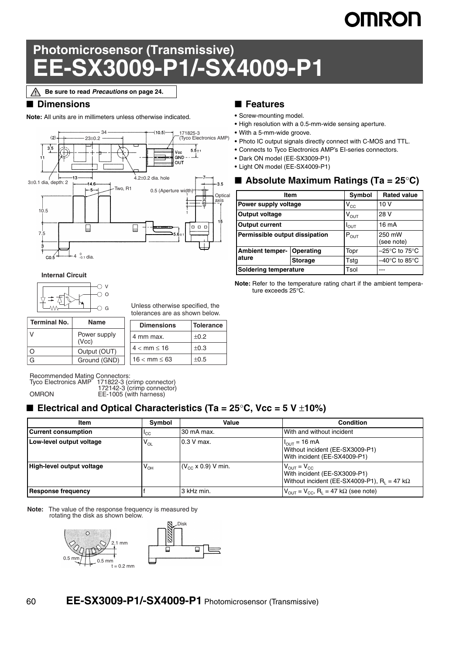# **IMRON**

# **Photomicrosensor (Transmissive) EE-SX3009-P1/-SX4009-P1**

**Be sure to read** *Precautions* **on page 24.**

#### ■ **Dimensions**

**Note:** All units are in millimeters unless otherwise indicated.



#### **Internal Circuit**



Unless otherwise specified, the tolerances are as shown below.

| <b>Terminal No.</b> | <b>Name</b>                                           |  | <b>Dimensions</b> | <b>Tolerance</b> |  |
|---------------------|-------------------------------------------------------|--|-------------------|------------------|--|
| V                   | Power supply<br>(Vcc)<br>Output (OUT)<br>Ground (GND) |  | 4 mm max.         | ±0.2             |  |
| $\circ$             |                                                       |  | $4 < mm \leq 16$  | $\pm 0.3$        |  |
| G                   |                                                       |  | $16 < mm \le 63$  | $\pm 0.5$        |  |

Recommended Mating Connectors: Tyco Electronics AMP 171822-3 (crimp connector) 172142-3 (crimp connector) OMRON EE-1005 (with harness)

## ■ **Electrical and Optical Characteristics (Ta = 25°C, Vcc = 5 V ±10%)**

| Item                             | Symbol          | Value                        | <b>Condition</b>                                                                                                        |
|----------------------------------|-----------------|------------------------------|-------------------------------------------------------------------------------------------------------------------------|
| <b>Current consumption</b>       | <sup>I</sup> CC | 30 mA max.                   | With and without incident                                                                                               |
| Low-level output voltage         | $V_{OL}$        | $0.3$ V max.                 | $H_{\text{OUT}} = 16 \text{ mA}$<br>Without incident (EE-SX3009-P1)<br>With incident (EE-SX4009-P1)                     |
| <b>High-level output voltage</b> | V <sub>OH</sub> | $(V_{cc} \times 0.9)$ V min. | $V_{\text{OUT}} = V_{\text{CC}}$<br>With incident (EE-SX3009-P1)<br>Without incident (EE-SX4009-P1), $R_1 = 47 k\Omega$ |
| <b>Response frequency</b>        |                 | l 3 kHz min.                 | $V_{\text{OUT}} = V_{\text{CC}}$ , R <sub>1</sub> = 47 kΩ (see note)                                                    |

**Note:** The value of the response frequency is measured by rotating the disk as shown below.



### ■ **Features**

- **•** Screw-mounting model.
- **•** High resolution with a 0.5-mm-wide sensing aperture.
- **•** With a 5-mm-wide groove.
- **•** Photo IC output signals directly connect with C-MOS and TTL.
- **•** Connects to Tyco Electronics AMP's EI-series connectors.
- **•** Dark ON model (EE-SX3009-P1)
- **•** Light ON model (EE-SX4009-P1)

### ■ **Absolute Maximum Ratings (Ta = 25°C)**

|                                | Item           | Symbol           | <b>Rated value</b>                 |
|--------------------------------|----------------|------------------|------------------------------------|
| Power supply voltage           |                | $V_{CC}$         | 10V                                |
| Output voltage                 |                | $V_{OUT}$        | 28 V                               |
| <b>Output current</b>          |                | $I_{\text{OUT}}$ | 16 mA                              |
| Permissible output dissipation |                | $P_{OUT}$        | 250 mW<br>(see note)               |
| <b>Ambient temper-</b>         | Operating      | Topr             | $-25^{\circ}$ C to 75 $^{\circ}$ C |
| ature                          | <b>Storage</b> | Tstg             | –40°C to 85°C                      |
| <b>Soldering temperature</b>   |                | Tsol             |                                    |

**Note:** Refer to the temperature rating chart if the ambient temperature exceeds 25°C.